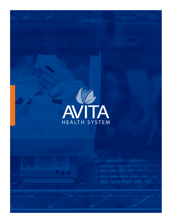

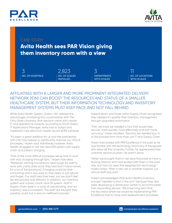



# CASE STUDY **Avita Health sees PAR Vision giving them inventory room with a view NO. OF HOSPITALS NO. OF SCALES INSTALLED DEPARTMENTS WITH SCALES NO. OF LOCATIONS WITH SCALES** 3 2,823 3 11

## AFFILIATING WITH A LARGER AND MORE PROMINENT INTEGRATED DELIVERY NETWORK (IDN) CAN BOOST THE RESOURCES AND STATUS OF A SMALLER HEALTHCARE SYSTEM, BUT THEIR INFORMATION TECHNOLOGY AND INVENTORY MANAGEMENT SYSTEMS MUST KEEP PACE AND NOT FALL BEHIND.

While Avita Health System, Galion, OH, relished the advantages of entering into a partnership with The Ohio State University, that decision came with certain IT and operational caveats, according to Scott Hazen, IT Applications Manager. Avita had to adopt and implement new electronic health record (EHR) software.

"It's been a great addition for us and the partnership with OSU has helped us significantly improve our clinical processes," Hazen said. Admittedly, however, Avita Health struggled to link the new EHR system with supply chain and patient charging.

"One of the more difficult processes we've had to work with was charging through Epic," Hazen indicated. "Materials' naming conventions were tough for staff to work with, particularly since they had short-hand names for a lot of the [products]. Charging could be timeconsuming and it was easy to miss steps or just ignore and forget. Our staff tried their best, but we didn't feel like the process was efficient. In addition, our inventory system was a basic count-and-fill system. Staff in Supply Chain were in a cycle of overstocking, and our inventory was inconsistent. The staff did the best they possibly could, but it was an inefficient process."

Hazen's team and those within Supply Chain recognized they needed to update their inventory management through upgraded automation.

"First, we knew we needed a tool that would help recover costs quicker, more effectively and with more accuracy," Hazen recalled. "Second, we needed buy-in to the process from more than just IT and Supply Chain.

Hazen had worked with PAR Excellence in the past so he was familiar with the technology and many of the people who were still the company. Further, he appreciated their customer service acumen. He wasn't alone.

"When we brought them in we were fortunate to have a Nursing Director who had worked with them in the past also, but had not seen the weighted bin technology," Hazen noted. "After a site visit to another hospital, our clinical staff was sold."

Hazen acknowledged that Avita Health's inventory process "needed a shot in the arm" because they also were developing a distribution center to accommodate their expanding service. "We knew long term that the key areas where we would be implementing PAR Excellence had to have solid replenishment processes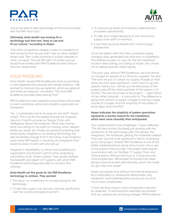and to be able to take advantage of the tools provided with the PAR Vision tool."

#### *Ultimately, Avita Health was looking for a technology tool that was "easy to use and fit our culture," according to Hazen.*

"The other competitors added a layer of complexity to their products that we just didn't see as value-added," Hazen said. "Bar-code scanning or locked cabinets or other concepts. This just felt right. I'm pretty sure we would have landed with PAR Excellence even without the prior relationship."

## SOLID MODELING

Avita Health viewed PAR Excellence's tools as providing a solid replenishment process with ample statistics. "We wanted to improve how we replenish, what we replenish and what we measure," he added. "The tools PAR Excellence provides does exactly that."

PAR Excellence's tools needed to pass three critical tests to merit installation within Avita Health's organizational framework.

"No. 1, it absolutely had to be easy for the staff," Hazen noted. "This is by far the easiest process we reviewed. Second, it had to provide our Supply Chain with intelligence about the materials. What was moving, what was sitting on the shelf not moving, what needed better par levels, etc. Finally, we wanted something that would easily integrate to our existing technology, but also be flexible enough that in the future, if we moved to some other ERP system, it would be an integration that would be easy to work with and set up."

Integration adaptability is critical and something an organization should learn upfront when evaluating automation tools, Hazen insisted. They quickly realized the breadth and depth of IT systems with which PAR Excellence technology was able to connect and operate.

#### *Avita Health set five goals for the PAR Excellence technology to achieve. They wanted:*

- 1. The return-on-investment to include paying for the technology.
- 2. To see their supply cost recovery improve significantly over the current processes long term.
- 3. To improve par levels and inventory replenishment processes operationally.
- 4. To offer fact-based decisions to the clinical and supply chain staff on inventory.
- 5. A tool that would be flexible from a technology perspective.

Once the system went live, they compared supply charging data generated with that prior to installation. The differences year-to-year for the first installation location were striking, according to Hazen, who chose not to release specific dollar figures.

"The prior year, without PAR Excellence, we had almost no charges for several of our floors for supplies," he said. "The year we put it in place our supply charges on that same account were significant. I don't want to go into specific dollars, but I will tell you the first phase of the project paid off the initial purchase of the system in 14 months. The second phase of the project – select floors at two other hospitals – is now paid for. The difference is going from almost no supply charges to having a large volume of charges. And the simplicity of the system is what helps drive that ROI."

#### *Hazen indicates the simplicity of system operations represents a worthy reward for the installation, which went more smoothly than anticipated.*

"Any implementation has challenges," Hazen reflected. "The first few months [involved] just working with the backbone on the technology side. The servers, the integration, the hardware, getting the materials ordered. That part was the most significant in terms of ramping up for the project. Overall, PAR Excellence is one of the better implementations we've done. In part, this is due to the support they provide. The project does require coordination with our facilities, IT, Supply Chain and Clinical teams. Without that buy-in, it does become more problematic. We've been fortunate that these groups have all worked well internally, which has made our go-lives a lot easier."

Hazen recognizes that without the internal teamwork, be it ambivalent or adversarial relationships, any installation and implementation would turn out that much more complicated.

"I think the facts have to drive conversations like this," he observed. "If administration identifies the problem that our supplies are not being charged, PAR Excellence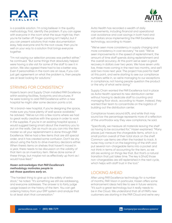



is a possible solution. I'm a big believer in the quality methodology. First, identify the problem. If you can agree with everyone in the room what the issue might be, then you're far better off. Finger-pointing isn't helpful, but if you can present solutions that make documentation easy, help everyone and fix the root cause, then you're well on your way to a solution that brings everyone together.

"I'm not saying our selection process was perfect either," he continued. "But some things that absolutely helped were having a site visit for some of the staff to see it in action. We also agreed there had to be a better way. Even if personalities in the room are an issue, if you can just get agreement on what the problem is, then people are at least looking for solutions."

## STRIVING FOR CONSISTENCY

Hazen's team and Supply Chain installed PAR Excellence within existing facilities, footprints and structures. If he were looking to add PAR Excellence within a new hospital he might alter some decision points a bit.

"At a brand-new hospital, if you're designing the space, make sure you have plenty of wall space available," he advised. "We've run into a few rooms where we had to great really creative with the space in order to work in the supplies. If you're in an existing hospital space, I would suggest being smart about the inventory you to put on the walls. Get as much as you can into the item master so all your replenishment is done through PAR Excellence. We've had a few items that are still special order, and it has created some confusion. Don't be shy about using the facts to drive inventory decisions either. When there's items on shelves that haven't moved in a year, there needs to be discussion on the validity of that item as an inventory item. We've done some of these things, but maybe not as effectively up front as I would have liked."

#### *Hazen acknowledges that PAR Excellence's methodology motivates people to ask those questions early on.*

"The hardest thing to give up is the safety of extra stock," he noted. "It's something we still are addressing, and everyone addresses. The answer is to fairly judge usage based on the history of the item. You can get ordering history from your ERP system and analyze that to at least start that conversation."

Avita Health has recorded a wealth of daily improvements, including financial and operational cost avoidance and cost savings in both hard and soft dollars since implementing the PAR Excellence technology, according to Hazen.

"We've seen more consistency in supply charging and more consistency in cost recovery," he said. "We've seen improvements in the speed of replenishment, the amount of time staff spends doing replenishment and the overall accuracy. At this point we've seen a great recovery in dollars over two years. We have seven units live, three more coming in the next two months, and we'll add two more next year. The project has paid for itself at this point, and we're starting to see our compliance numbers settle in, so we're managing to our exceptions in compliance, not having people question the product or the why of what we're doing."

Supply Chain wanted the PAR Excellence tool in place as Avita Health opened its new distribution center without having to dedicate staff to counting and managing floor stock, according to Hazen. Instead, they wanted their team to concentrate on the logistics of building out the distribution center.

Compliance hovers around 60%, and while that may sound low the percentage represents more of a reflection of the unorthodox way they view compliance, he said.

"Specifically, we measure all materials leaving the shelf as having to be accounted for," Hazen explained. "Many places just measure the chargeable items, which is a small portion overall of their total stock on the shelf. Common-use items are often the hardest to track. A nurse may come in on the beginning of the shift and put several non-chargeable items into a pocket and not think in terms of accounting for the item, so we still are working on things like that. But that's a natural transition that just takes time. The key is [that] those non-chargeables are still replenished in the next cycle, which helps with staff trust in the tool."

### LOOKING AHEAD

After using PAR Excellence technology for a number of months, PAR Vision in particular, Hazen offers some enhancement ideas he'd like to see in future versions. "It's such a great technology but it really needs to be in the Cloud. We understand that all of PAR's new customers are starting in the PAR Cloud and we're very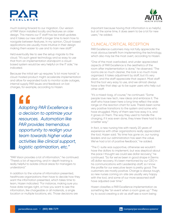



much looking forward to our migration. Our version of PAR Vision installed locally and features an older design. This means our IT staff has be install updates and it takes our new staff a longer time to learn how to navigate between features. In my opinion, Cloud-based applications are usually more intuitive in their design making them easier to use and to train new staff."

He'd eventually like to see the setup migrate to the cloud. "It's such great technology and so easy to use that from an implementation standpoint a cloudbased system would be very helpful on the IT side," he indicated.

Because the initial set-up requires "a lot more hands" a cloud-hosted product might accelerate implementation and allow for expanded tools to monitor scale outages, internal supply PAR issues and feedback on lost charges, for example, according to Hazen.

> *Adopting PAR Excellence is a decision to optimize your resources. Automation like PAR provides tremendous opportunity to realign your team towards higher value activities like clinical support, logistic optimization, etc."* **"**

"PAR Vision provides a lot of information," he continued. "There's a lot of reporting, and in-depth training is really helpful to isolate critical areas for managers to understand."

In addition to the volume of information presented, healthcare organizations then have to decide how they want the information presented, which takes time to learn, Hazen indicated. "For instance, making sure you have date ranges right, or how you want to see the information, like chargeable or all materials, a single location or multiple locations, etc. Those decisions are

important because having that information is so helpful, but at the same time, it does seem to be a lot for new users," he added.

## CLINICAL/CRITICAL RECEPTION

PAR Excellence customers may not fully appreciate the most obvious benefit from implementing the technology, which also may be the most overt, according to Hazen.

"One of the most overlooked, and under appreciated aspects of PAR Excellence is the aesthetics of the room after implementation is done," he observed. "The rooms are so much cleaner, the look is so much more organized. It takes adjustment by staff, but it's very clean, and the staff appreciate that aspect. Most staff find the tool very easy to use, and we almost always have a few that step up to be super users who help out other staff.

"It's a mixed-bag, of course," he continued. "Some people love new tech, new ideas and embrace it. The staff who have been here a long time reflect the wide range on the reaction chart for sure. There's been some very positive transitions to the system and some who have struggled. Many of them see how easy it is, and it grows on them. The way they used to handle the charging, if it was even done, they knew there had to be a better way."

In fact, a new nursing hire with nearly 20 years of experience with other organizations really appreciated the tool, Hazen said. "As time has gone on, our nursing leaders and our administration has seen the value. We've had a lot of positive feedback," he added.

"The C-suite was supportive, otherwise we wouldn't have the dollars to implement, but was skeptical about the pace I thought we could see dollar recovery," he continued. "So far we've been in good shape in [terms of] dollar recovery. It's been mentioned by our CEO in his communications with Leadership staff, so I know the profile for our executive team is pretty good. The customers are mostly positive. Change is always tough, so new nurses coming on-site are usually very happy with the tool, and some of our more seasoned staff have adjusted over time."

Hazen classifies a PAR Excellence implementation as something like "an event when a room goes up." They try to avoid creating a stir as staff see a room being